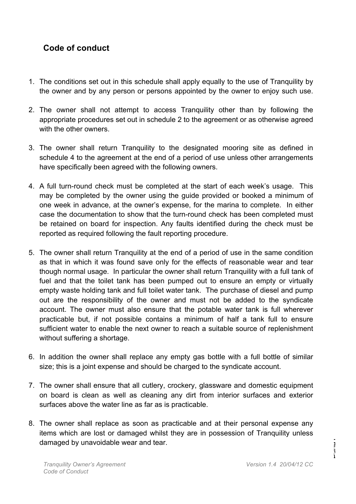## **Code of conduct**

- 1. The conditions set out in this schedule shall apply equally to the use of Tranquility by the owner and by any person or persons appointed by the owner to enjoy such use.
- 2. The owner shall not attempt to access Tranquility other than by following the appropriate procedures set out in schedule 2 to the agreement or as otherwise agreed with the other owners.
- 3. The owner shall return Tranquility to the designated mooring site as defined in schedule 4 to the agreement at the end of a period of use unless other arrangements have specifically been agreed with the following owners.
- 4. A full turn-round check must be completed at the start of each week's usage. This may be completed by the owner using the guide provided or booked a minimum of one week in advance, at the owner's expense, for the marina to complete. In either case the documentation to show that the turn-round check has been completed must be retained on board for inspection. Any faults identified during the check must be reported as required following the fault reporting procedure.
- 5. The owner shall return Tranquility at the end of a period of use in the same condition as that in which it was found save only for the effects of reasonable wear and tear though normal usage. In particular the owner shall return Tranquility with a full tank of fuel and that the toilet tank has been pumped out to ensure an empty or virtually empty waste holding tank and full toilet water tank. The purchase of diesel and pump out are the responsibility of the owner and must not be added to the syndicate account. The owner must also ensure that the potable water tank is full wherever practicable but, if not possible contains a minimum of half a tank full to ensure sufficient water to enable the next owner to reach a suitable source of replenishment without suffering a shortage.
- 6. In addition the owner shall replace any empty gas bottle with a full bottle of similar size; this is a joint expense and should be charged to the syndicate account.
- 7. The owner shall ensure that all cutlery, crockery, glassware and domestic equipment on board is clean as well as cleaning any dirt from interior surfaces and exterior surfaces above the water line as far as is practicable.
- 8. The owner shall replace as soon as practicable and at their personal expense any items which are lost or damaged whilst they are in possession of Tranquility unless damaged by unavoidable wear and tear.

Page1